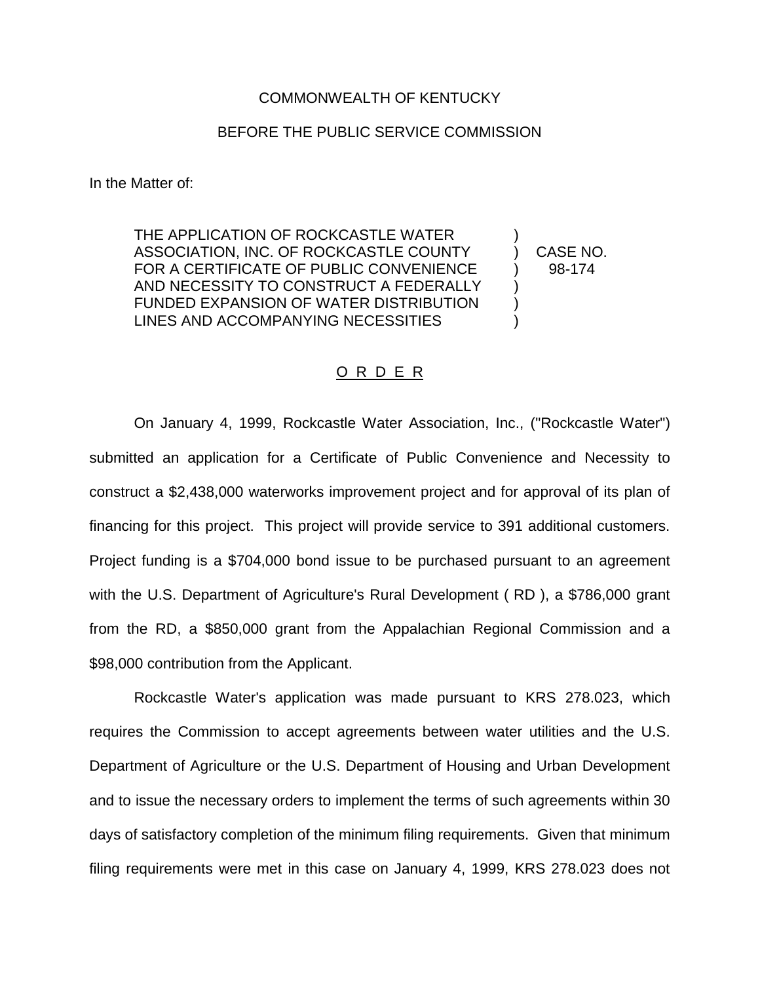## COMMONWEALTH OF KENTUCKY

## BEFORE THE PUBLIC SERVICE COMMISSION

In the Matter of:

THE APPLICATION OF ROCKCASTLE WATER ASSOCIATION, INC. OF ROCKCASTLE COUNTY (CASE NO. FOR A CERTIFICATE OF PUBLIC CONVENIENCE  $\qquad$  ) 98-174 AND NECESSITY TO CONSTRUCT A FEDERALLY FUNDED EXPANSION OF WATER DISTRIBUTION ) LINES AND ACCOMPANYING NECESSITIES

## O R D E R

On January 4, 1999, Rockcastle Water Association, Inc., ("Rockcastle Water") submitted an application for a Certificate of Public Convenience and Necessity to construct a \$2,438,000 waterworks improvement project and for approval of its plan of financing for this project. This project will provide service to 391 additional customers. Project funding is a \$704,000 bond issue to be purchased pursuant to an agreement with the U.S. Department of Agriculture's Rural Development ( RD ), a \$786,000 grant from the RD, a \$850,000 grant from the Appalachian Regional Commission and a \$98,000 contribution from the Applicant.

Rockcastle Water's application was made pursuant to KRS 278.023, which requires the Commission to accept agreements between water utilities and the U.S. Department of Agriculture or the U.S. Department of Housing and Urban Development and to issue the necessary orders to implement the terms of such agreements within 30 days of satisfactory completion of the minimum filing requirements. Given that minimum filing requirements were met in this case on January 4, 1999, KRS 278.023 does not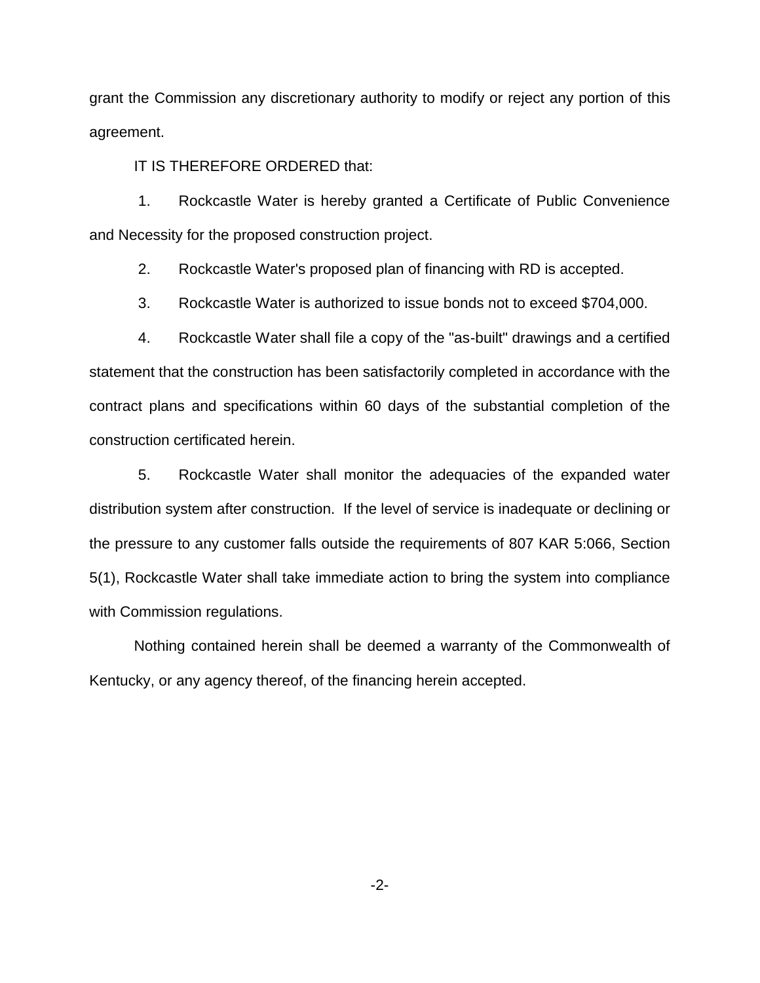grant the Commission any discretionary authority to modify or reject any portion of this agreement.

IT IS THEREFORE ORDERED that:

1. Rockcastle Water is hereby granted a Certificate of Public Convenience and Necessity for the proposed construction project.

2. Rockcastle Water's proposed plan of financing with RD is accepted.

3. Rockcastle Water is authorized to issue bonds not to exceed \$704,000.

4. Rockcastle Water shall file a copy of the "as-built" drawings and a certified statement that the construction has been satisfactorily completed in accordance with the contract plans and specifications within 60 days of the substantial completion of the construction certificated herein.

5. Rockcastle Water shall monitor the adequacies of the expanded water distribution system after construction. If the level of service is inadequate or declining or the pressure to any customer falls outside the requirements of 807 KAR 5:066, Section 5(1), Rockcastle Water shall take immediate action to bring the system into compliance with Commission regulations.

Nothing contained herein shall be deemed a warranty of the Commonwealth of Kentucky, or any agency thereof, of the financing herein accepted.

-2-